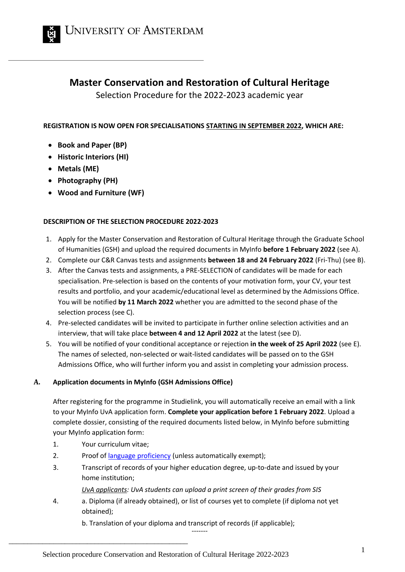

# **Master Conservation and Restoration of Cultural Heritage**

Selection Procedure for the 2022-2023 academic year

# **REGISTRATION IS NOW OPEN FOR SPECIALISATIONS STARTING IN SEPTEMBER 2022, WHICH ARE:**

- **Book and Paper (BP)**
- **Historic Interiors (HI)**
- **Metals (ME)**
- **Photography (PH)**
- **Wood and Furniture (WF)**

# **DESCRIPTION OF THE SELECTION PROCEDURE 2022-2023**

- 1. Apply for the Master Conservation and Restoration of Cultural Heritage through the Graduate School of Humanities (GSH) and upload the required documents in MyInfo **before 1 February 2022** (see A).
- 2. Complete our C&R Canvas tests and assignments **between 18 and 24 February 2022** (Fri-Thu) (see B).
- 3. After the Canvas tests and assignments, a PRE-SELECTION of candidates will be made for each specialisation. Pre-selection is based on the contents of your motivation form, your CV, your test results and portfolio, and your academic/educational level as determined by the Admissions Office. You will be notified **by 11 March 2022** whether you are admitted to the second phase of the selection process (see C).
- 4. Pre-selected candidates will be invited to participate in further online selection activities and an interview, that will take place **between 4 and 12 April 2022** at the latest (see D).
- 5. You will be notified of your conditional acceptance or rejection **in the week of 25 April 2022** (see E). The names of selected, non-selected or wait-listed candidates will be passed on to the GSH Admissions Office, who will further inform you and assist in completing your admission process.

# **A. Application documents in MyInfo (GSH Admissions Office)**

After registering for the programme in Studielink, you will automatically receive an email with a link to your MyInfo UvA application form. **Complete your application before 1 February 2022**. Upload a complete dossier, consisting of the required documents listed below, in MyInfo before submitting your MyInfo application form:

1. Your curriculum vitae;

\_\_\_\_\_\_\_\_\_\_\_\_\_\_\_\_\_\_\_\_\_\_\_\_\_\_\_\_\_\_\_\_\_\_\_\_\_\_\_\_\_\_\_\_\_\_\_\_

- 2. Proof of [language proficiency](https://gsh.uva.nl/application-and-admission/english-language-requirements/english-language-requirements.html) (unless automatically exempt);
- 3. Transcript of records of your higher education degree, up-to-date and issued by your home institution;

*UvA applicants: UvA students can upload a print screen of their grades from SIS*

4. a. Diploma (if already obtained), or list of courses yet to complete (if diploma not yet obtained);

------ b. Translation of your diploma and transcript of records (if applicable);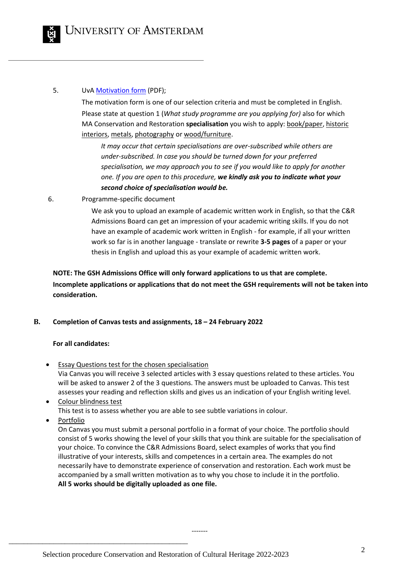## 5. Uv[A Motivation form](https://gsh.uva.nl/binaries/content/assets/faculteiten/faculteit-der-geesteswetenschappen/graduate-school-of-humanities/gsh-motivation-form.pdf) (PDF);

The motivation form is one of our selection criteria and must be completed in English. Please state at question 1 (*What study programme are you applying for)* also for which MA Conservation and Restoration **specialisation** you wish to apply: book/paper, historic interiors, metals, photography or wood/furniture.

*It may occur that certain specialisations are over-subscribed while others are under-subscribed. In case you should be turned down for your preferred specialisation, we may approach you to see if you would like to apply for another one. If you are open to this procedure, we kindly ask you to indicate what your second choice of specialisation would be.*

6. Programme-specific document

We ask you to upload an example of academic written work in English, so that the C&R Admissions Board can get an impression of your academic writing skills. If you do not have an example of academic work written in English - for example, if all your written work so far is in another language - translate or rewrite **3-5 pages** of a paper or your thesis in English and upload this as your example of academic written work.

**NOTE: The GSH Admissions Office will only forward applications to us that are complete. Incomplete applications or applications that do not meet the GSH requirements will not be taken into consideration.**

# **B. Completion of Canvas tests and assignments, 18 – 24 February 2022**

# **For all candidates:**

- **Essay Questions test for the chosen specialisation** Via Canvas you will receive 3 selected articles with 3 essay questions related to these articles. You will be asked to answer 2 of the 3 questions. The answers must be uploaded to Canvas. This test assesses your reading and reflection skills and gives us an indication of your English writing level.
- Colour blindness test This test is to assess whether you are able to see subtle variations in colour.
- Portfolio

\_\_\_\_\_\_\_\_\_\_\_\_\_\_\_\_\_\_\_\_\_\_\_\_\_\_\_\_\_\_\_\_\_\_\_\_\_\_\_\_\_\_\_\_\_\_\_\_

On Canvas you must submit a personal portfolio in a format of your choice. The portfolio should consist of 5 works showing the level of your skills that you think are suitable for the specialisation of your choice. To convince the C&R Admissions Board, select examples of works that you find illustrative of your interests, skills and competences in a certain area. The examples do not necessarily have to demonstrate experience of conservation and restoration. Each work must be accompanied by a small written motivation as to why you chose to include it in the portfolio. **All 5 works should be digitally uploaded as one file.**

-------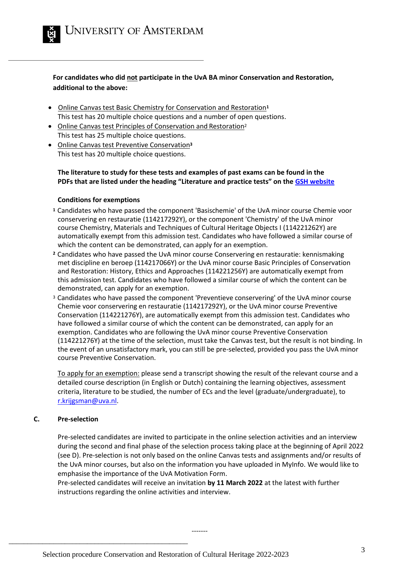

**For candidates who did not participate in the UvA BA minor Conservation and Restoration, additional to the above:**

- Online Canvas test Basic Chemistry for Conservation and Restoration**<sup>1</sup>** This test has 20 multiple choice questions and a number of open questions.
- Online Canvas test Principles of Conservation and Restoration<sup>2</sup> This test has 25 multiple choice questions.
- Online Canvas test Preventive Conservation**<sup>3</sup>** This test has 20 multiple choice questions.

### **The literature to study for these tests and examples of past exams can be found in the PDFs that are listed under the heading "Literature and practice tests" on the [GSH website](https://gsh.uva.nl/content/masters/conservation-and-restoration-of-cultural-heritage/application-and-admission/application-and-admission.html?origin=2Fh869O3TrqalfFjeb7EpQ#2-Check-entry-requirements)**

#### **Conditions for exemptions**

- **<sup>1</sup>**Candidates who have passed the component 'Basischemie' of the UvA minor course Chemie voor conservering en restauratie (114217292Y), or the component 'Chemistry' of the UvA minor course Chemistry, Materials and Techniques of Cultural Heritage Objects I (114221262Y) are automatically exempt from this admission test. Candidates who have followed a similar course of which the content can be demonstrated, can apply for an exemption.
- **<sup>2</sup>**Candidates who have passed the UvA minor course Conservering en restauratie: kennismaking met discipline en beroep (114217066Y) or the UvA minor course Basic Principles of Conservation and Restoration: History, Ethics and Approaches (114221256Y) are automatically exempt from this admission test. Candidates who have followed a similar course of which the content can be demonstrated, can apply for an exemption.
- <sup>3</sup> Candidates who have passed the component 'Preventieve conservering' of the UvA minor course Chemie voor conservering en restauratie (114217292Y), or the UvA minor course Preventive Conservation (114221276Y), are automatically exempt from this admission test. Candidates who have followed a similar course of which the content can be demonstrated, can apply for an exemption. Candidates who are following the UvA minor course Preventive Conservation (114221276Y) at the time of the selection, must take the Canvas test, but the result is not binding. In the event of an unsatisfactory mark, you can still be pre-selected, provided you pass the UvA minor course Preventive Conservation.

To apply for an exemption: please send a transcript showing the result of the relevant course and a detailed course description (in English or Dutch) containing the learning objectives, assessment criteria, literature to be studied, the number of ECs and the level (graduate/undergraduate), to [r.krijgsman@uva.nl.](mailto:r.krijgsman@uva.nl)

#### **C. Pre-selection**

\_\_\_\_\_\_\_\_\_\_\_\_\_\_\_\_\_\_\_\_\_\_\_\_\_\_\_\_\_\_\_\_\_\_\_\_\_\_\_\_\_\_\_\_\_\_\_\_

Pre-selected candidates are invited to participate in the online selection activities and an interview during the second and final phase of the selection process taking place at the beginning of April 2022 (see D). Pre-selection is not only based on the online Canvas tests and assignments and/or results of the UvA minor courses, but also on the information you have uploaded in MyInfo. We would like to emphasise the importance of the UvA Motivation Form.

Pre-selected candidates will receive an invitation **by 11 March 2022** at the latest with further instructions regarding the online activities and interview.

-------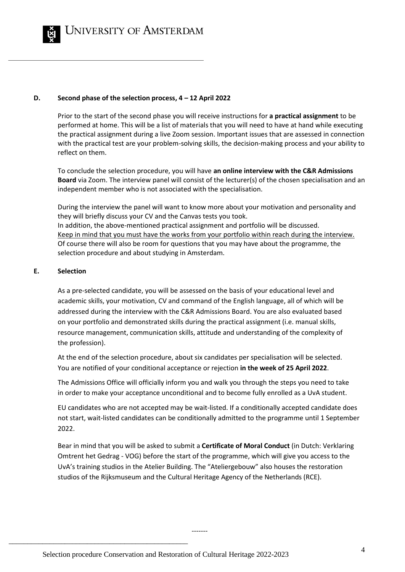

UNIVERSITY OF AMSTERDAM

#### **D. Second phase of the selection process, 4 – 12 April 2022**

Prior to the start of the second phase you will receive instructions for **a practical assignment** to be performed at home. This will be a list of materials that you will need to have at hand while executing the practical assignment during a live Zoom session. Important issues that are assessed in connection with the practical test are your problem-solving skills, the decision-making process and your ability to reflect on them.

To conclude the selection procedure, you will have **an online interview with the C&R Admissions Board** via Zoom. The interview panel will consist of the lecturer(s) of the chosen specialisation and an independent member who is not associated with the specialisation.

During the interview the panel will want to know more about your motivation and personality and they will briefly discuss your CV and the Canvas tests you took. In addition, the above-mentioned practical assignment and portfolio will be discussed. Keep in mind that you must have the works from your portfolio within reach during the interview. Of course there will also be room for questions that you may have about the programme, the selection procedure and about studying in Amsterdam.

#### **E. Selection**

As a pre-selected candidate, you will be assessed on the basis of your educational level and academic skills, your motivation, CV and command of the English language, all of which will be addressed during the interview with the C&R Admissions Board. You are also evaluated based on your portfolio and demonstrated skills during the practical assignment (i.e. manual skills, resource management, communication skills, attitude and understanding of the complexity of the profession).

At the end of the selection procedure, about six candidates per specialisation will be selected. You are notified of your conditional acceptance or rejection **in the week of 25 April 2022**.

The Admissions Office will officially inform you and walk you through the steps you need to take in order to make your acceptance unconditional and to become fully enrolled as a UvA student.

EU candidates who are not accepted may be wait-listed. If a conditionally accepted candidate does not start, wait-listed candidates can be conditionally admitted to the programme until 1 September 2022.

Bear in mind that you will be asked to submit a **Certificate of Moral Conduct** (in Dutch: Verklaring Omtrent het Gedrag - VOG) before the start of the programme, which will give you access to the UvA's training studios in the Atelier Building. The "Ateliergebouw" also houses the restoration studios of the Rijksmuseum and the Cultural Heritage Agency of the Netherlands (RCE).

-------

\_\_\_\_\_\_\_\_\_\_\_\_\_\_\_\_\_\_\_\_\_\_\_\_\_\_\_\_\_\_\_\_\_\_\_\_\_\_\_\_\_\_\_\_\_\_\_\_